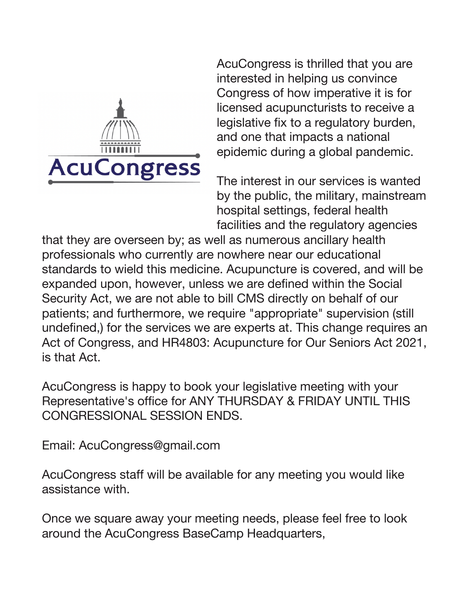

AcuCongress is thrilled that you are interested in helping us convince Congress of how imperative it is for licensed acupuncturists to receive a legislative fix to a regulatory burden, and one that impacts a national epidemic during a global pandemic.

The interest in our services is wanted by the public, the military, mainstream hospital settings, federal health facilities and the regulatory agencies

that they are overseen by; as well as numerous ancillary health professionals who currently are nowhere near our educational standards to wield this medicine. Acupuncture is covered, and will be expanded upon, however, unless we are defined within the Social Security Act, we are not able to bill CMS directly on behalf of our patients; and furthermore, we require "appropriate" supervision (still undefined,) for the services we are experts at. This change requires an Act of Congress, and HR4803: Acupuncture for Our Seniors Act 2021, is that Act.

AcuCongress is happy to book your legislative meeting with your Representative's office for ANY THURSDAY & FRIDAY UNTIL THIS CONGRESSIONAL SESSION ENDS.

Email: AcuCongress@gmail.com

AcuCongress staff will be available for any meeting you would like assistance with.

Once we square away your meeting needs, please feel free to look around the AcuCongress BaseCamp Headquarters,